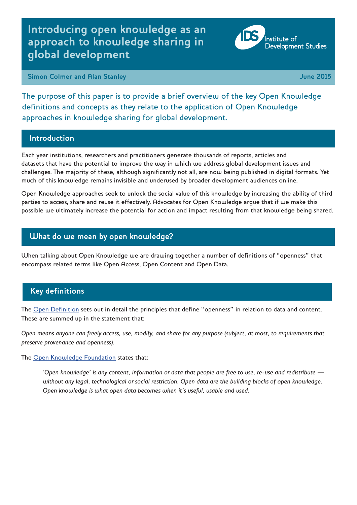# **Introducing open knowledge as an approach to knowledge sharing in global development**



**Institute** of

**Development Studies** 

The purpose of this paper is to provide a brief overview of the key Open Knowledge definitions and concepts as they relate to the application of Open Knowledge approaches in knowledge sharing for global development.

### **Introduction**

Each year institutions, researchers and practitioners generate thousands of reports, articles and datasets that have the potential to improve the way in which we address global development issues and challenges. The majority of these, although significantly not all, are now being published in digital formats. Yet much of this knowledge remains invisible and underused by broader development audiences online.

Open Knowledge approaches seek to unlock the social value of this knowledge by increasing the ability of third parties to access, share and reuse it effectively. Advocates for Open Knowledge argue that if we make this possible we ultimately increase the potential for action and impact resulting from that knowledge being shared.

# **What do we mean by open knowledge?**

When talking about Open Knowledge we are drawing together a number of definitions of "openness" that encompass related terms like Open Access, Open Content and Open Data.

# **Key definitions**

The [Open Definition](http://opendefinition.org/) sets out in detail the principles that define "openness" in relation to data and content. These are summed up in the statement that:

*Open means anyone can freely access, use, modify, and share for any purpose (subject, at most, to requirements that preserve provenance and openness).*

### The [Open Knowledge Foundation](https://okfn.org/opendata/) states that:

*'Open knowledge' is any content, information or data that people are free to use, re-use and redistribute without any legal, technological or social restriction. Open data are the building blocks of open knowledge. Open knowledge is what open data becomes when it's useful, usable and used.*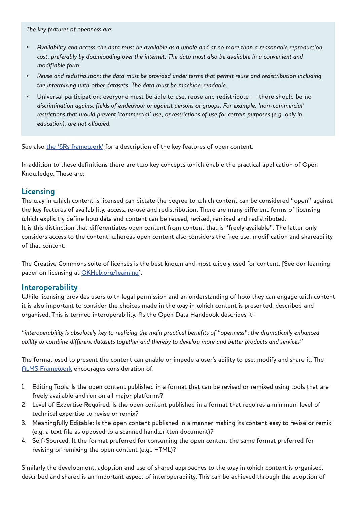*The key features of openness are:*

- *• Availability and access: the data must be available as a whole and at no more than a reasonable reproduction cost, preferably by downloading over the internet. The data must also be available in a convenient and modifiable form.*
- *• Reuse and redistribution: the data must be provided under terms that permit reuse and redistribution including the intermixing with other datasets. The data must be machine-readable.*
- Universal participation: everyone must be able to use, reuse and redistribute there should be no *discrimination against fields of endeavour or against persons or groups. For example, 'non-commercial' restrictions that would prevent 'commercial' use, or restrictions of use for certain purposes (e.g. only in education), are not allowed.*

See also [the '5Rs framework'](http://www.opencontent.org/definition/) for a description of the key features of open content.

In addition to these definitions there are two key concepts which enable the practical application of Open Knowledge. These are:

### **Licensing**

The way in which content is licensed can dictate the degree to which content can be considered "open" against the key features of availability, access, re-use and redistribution. There are many different forms of licensing which explicitly define how data and content can be reused, revised, remixed and redistributed. It is this distinction that differentiates open content from content that is "freely available". The latter only considers access to the content, whereas open content also considers the free use, modification and shareability of that content.

The Creative Commons suite of licenses is the best known and most widely used for content. [See our learning paper on licensing at [OKHub.org/learning](http://www.okhub.org/learning)].

### **Interoperability**

While licensing provides users with legal permission and an understanding of how they can engage with content it is also important to consider the choices made in the way in which content is presented, described and organised. This is termed interoperability. As the Open Data Handbook describes it:

*"interoperability is absolutely key to realizing the main practical benefits of "openness": the dramatically enhanced ability to combine different datasets together and thereby to develop more and better products and services"*

The format used to present the content can enable or impede a user's ability to use, modify and share it. The [ALMS Framework](http://www.opencontent.org/definition/) encourages consideration of:

- 1. Editing Tools: Is the open content published in a format that can be revised or remixed using tools that are freely available and run on all major platforms?
- 2. Level of Expertise Required: Is the open content published in a format that requires a minimum level of technical expertise to revise or remix?
- 3. Meaningfully Editable: Is the open content published in a manner making its content easy to revise or remix (e.g. a text file as opposed to a scanned handwritten document)?
- 4. Self-Sourced: It the format preferred for consuming the open content the same format preferred for revising or remixing the open content (e.g., HTML)?

Similarly the development, adoption and use of shared approaches to the way in which content is organised, described and shared is an important aspect of interoperability. This can be achieved through the adoption of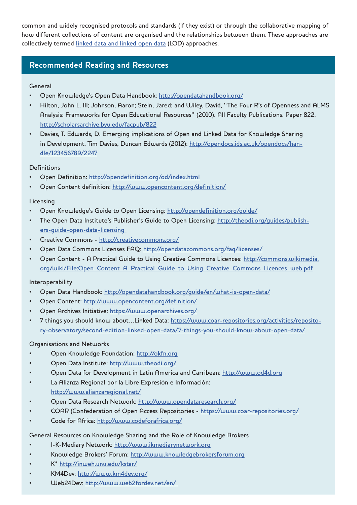common and widely recognised protocols and standards (if they exist) or through the collaborative mapping of how different collections of content are organised and the relationships between them. These approaches are collectively termed [linked data and linked open data](https://www.coar-repositories.org/activities/repository-observatory/second-edition-linked-open-data/7-things-you-should-know-about-open-data/) (LOD) approaches.

### **Recommended Reading and Resources**

### General

- Open Knowledge's Open Data Handbook: <http://opendatahandbook.org/>
- Hilton, John L. III; Johnson, Aaron; Stein, Jared; and Wiley, David, "The Four R's of Openness and ALMS Analysis: Frameworks for Open Educational Resources" (2010). All Faculty Publications. Paper 822. <http://scholarsarchive.byu.edu/facpub/822>
- Davies, T. Edwards, D. Emerging implications of Open and Linked Data for Knowledge Sharing in Development, Tim Davies, Duncan Edwards (2012): [http://opendocs.ids.ac.uk/opendocs/han](http://opendocs.ids.ac.uk/opendocs/han-dle/123456789/2247 )[dle/123456789/2247](http://opendocs.ids.ac.uk/opendocs/han-dle/123456789/2247 )

### Definitions

- Open Definition: <http://opendefinition.org/od/index.html>
- Open Content definition: <http://www.opencontent.org/definition/>

### Licensing

- Open Knowledge's Guide to Open Licensing: <http://opendefinition.org/guide/>
- The Open Data Institute's Publisher's Guide to Open Licensing: [http://theodi.org/guides/publish](http://theodi.org/guides/publishers-guide-open-data-licensing  )[ers-guide-open-data-licensing](http://theodi.org/guides/publishers-guide-open-data-licensing  )
- Creative Commons - [http://creativecommons.org/](http://creativecommons.org/ )
- Open Data Commons Licenses FAQ: <http://opendatacommons.org/faq/licenses/>
- Open Content A Practical Guide to Using Creative Commons Licences: [http://commons.wikimedia.](http://commons.wikimedia.org/wiki/File:Open_Content_A_Practical_Guide_to_Using_Creative_Commons_Lice) [org/wiki/File:Open\\_Content\\_A\\_Practical\\_Guide\\_to\\_Using\\_Creative\\_Commons\\_Licences\\_web.pdf](http://commons.wikimedia.org/wiki/File:Open_Content_A_Practical_Guide_to_Using_Creative_Commons_Lice)

### Interoperability

- Open Data Handbook: <http://opendatahandbook.org/guide/en/what-is-open-data/>
- Open Content:<http://www.opencontent.org/definition/>
- Open Archives Initiative:<https://www.openarchives.org/>
- 7 things you should know about...Linked Data: [https://www.coar-repositories.org/activities/reposito](https://www.coar-repositories.org/activities/repository-observatory/second-edition-linked-open-data/)[ry-observatory/second-edition-linked-open-data/7-things-you-should-know-about-open-data/](https://www.coar-repositories.org/activities/repository-observatory/second-edition-linked-open-data/)

### Organisations and Networks

- Open Knowledge Foundation: <http://okfn.org>
- Open Data Institute: <http://www.theodi.org/>
- Open Data for Development in Latin America and Carribean: <http://www.od4d.org>
- La Alianza Regional por la Libre Expresión e Información: <http://www.alianzaregional.net/>
- Open Data Research Network: [http://www.opendataresearch.org/](http://www.opendataresearch.org/ )
- COAR (Confederation of Open Access Repositories -<https://www.coar-repositories.org/>
- Code for Africa:<http://www.codeforafrica.org/>

### General Resources on Knowledge Sharing and the Role of Knowledge Brokers

- I-K-Mediary Network: <http://www.ikmediarynetwork.org>
- Knowledge Brokers' Forum: <http://www.knowledgebrokersforum.org>
- K\*<http://inweh.unu.edu/kstar/>
- KM4Dev: <http://www.km4dev.org/>
- Web24Dev: [http://www.web2fordev.net/en/](http://www.web2fordev.net/en/ )